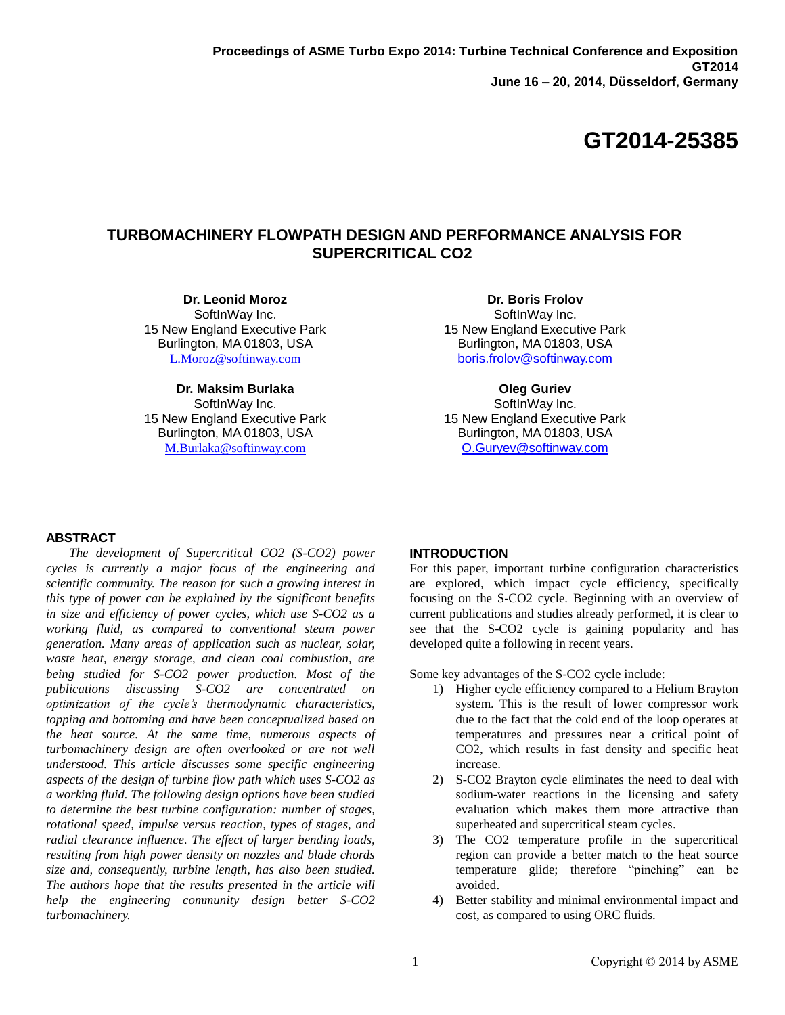# **TURBOMACHINERY FLOWPATH DESIGN AND PERFORMANCE ANALYSIS FOR SUPERCRITICAL CO2**

**Dr. Leonid Moroz** SoftInWay Inc. 15 New England Executive Park Burlington, MA 01803, USA [L.Moroz@softinway.com](mailto:L.Moroz@softinway.com)

**Dr. Maksim Burlaka**

SoftInWay Inc. 15 New England Executive Park Burlington, MA 01803, USA [M.Burlaka@softinway.com](mailto:M.Burlaka@softinway.com)

**Dr. Boris Frolov** SoftInWay Inc. 15 New England Executive Park Burlington, MA 01803, USA [boris.frolov@softinway.com](mailto:boris.frolov@softinway.com)

**Oleg Guriev** SoftInWay Inc. 15 New England Executive Park Burlington, MA 01803, USA [O.Guryev@softinway.com](mailto:O.Guryev@softinway.com)

# **ABSTRACT**

*The development of Supercritical CO2 (S-CO2) power cycles is currently a major focus of the engineering and scientific community. The reason for such a growing interest in this type of power can be explained by the significant benefits in size and efficiency of power cycles, which use S-CO2 as a working fluid, as compared to conventional steam power generation. Many areas of application such as nuclear, solar, waste heat, energy storage, and clean coal combustion, are being studied for S-CO2 power production. Most of the publications discussing S-CO2 are concentrated on optimization of the cycle's thermodynamic characteristics, topping and bottoming and have been conceptualized based on the heat source. At the same time, numerous aspects of turbomachinery design are often overlooked or are not well understood. This article discusses some specific engineering aspects of the design of turbine flow path which uses S-CO2 as a working fluid. The following design options have been studied to determine the best turbine configuration: number of stages, rotational speed, impulse versus reaction, types of stages, and radial clearance influence. The effect of larger bending loads, resulting from high power density on nozzles and blade chords size and, consequently, turbine length, has also been studied. The authors hope that the results presented in the article will help the engineering community design better S-CO2 turbomachinery.*

# **INTRODUCTION**

For this paper, important turbine configuration characteristics are explored, which impact cycle efficiency, specifically focusing on the S-CO2 cycle. Beginning with an overview of current publications and studies already performed, it is clear to see that the S-CO2 cycle is gaining popularity and has developed quite a following in recent years.

Some key advantages of the S-CO2 cycle include:

- 1) Higher cycle efficiency compared to a Helium Brayton system. This is the result of lower compressor work due to the fact that the cold end of the loop operates at temperatures and pressures near a critical point of CO2, which results in fast density and specific heat increase.
- 2) S-CO2 Brayton cycle eliminates the need to deal with sodium-water reactions in the licensing and safety evaluation which makes them more attractive than superheated and supercritical steam cycles.
- 3) The CO2 temperature profile in the supercritical region can provide a better match to the heat source temperature glide; therefore "pinching" can be avoided.
- 4) Better stability and minimal environmental impact and cost, as compared to using ORC fluids.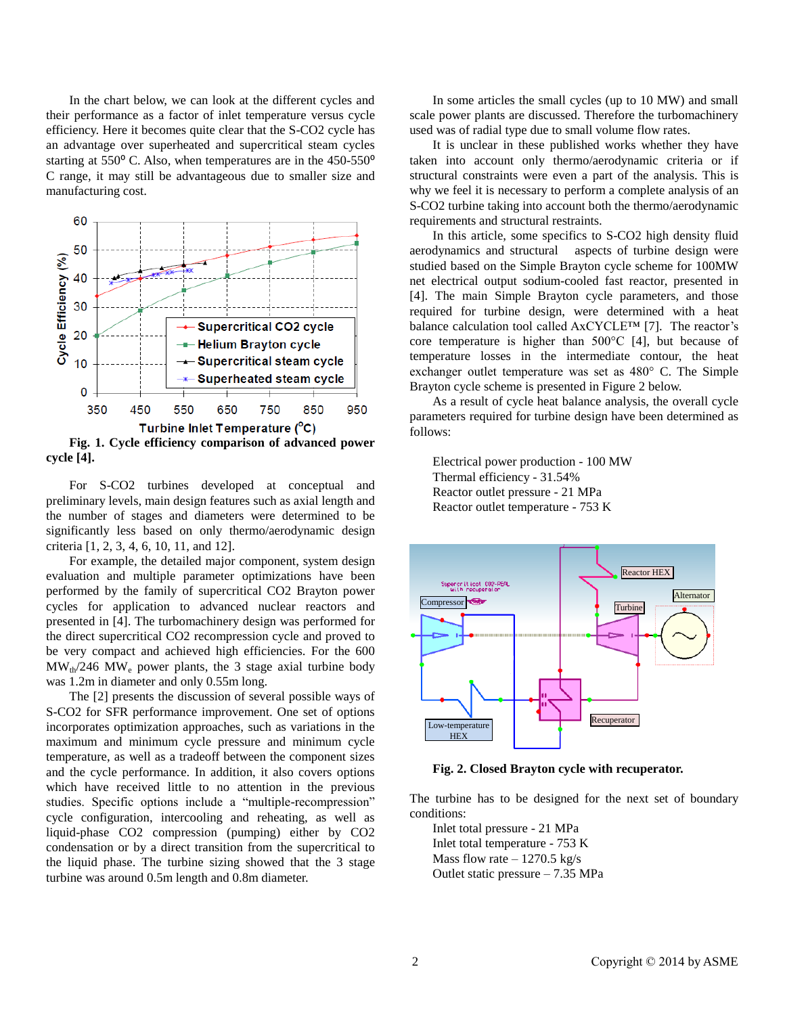In the chart below, we can look at the different cycles and their performance as a factor of inlet temperature versus cycle efficiency. Here it becomes quite clear that the S-CO2 cycle has an advantage over superheated and supercritical steam cycles starting at  $550^{\circ}$  C. Also, when temperatures are in the  $450-550^{\circ}$ C range, it may still be advantageous due to smaller size and manufacturing cost.



For S-CO2 turbines developed at conceptual and

preliminary levels, main design features such as axial length and the number of stages and diameters were determined to be significantly less based on only thermo/aerodynamic design criteria [1, 2, 3, 4, 6, 10, 11, and 12].

For example, the detailed major component, system design evaluation and multiple parameter optimizations have been performed by the family of supercritical CO2 Brayton power cycles for application to advanced nuclear reactors and presented in [4]. The turbomachinery design was performed for the direct supercritical CO2 recompression cycle and proved to be very compact and achieved high efficiencies. For the 600  $\text{MW}_{\text{th}}/246$  MW<sub>e</sub> power plants, the 3 stage axial turbine body was 1.2m in diameter and only 0.55m long.

The [2] presents the discussion of several possible ways of S-CO2 for SFR performance improvement. One set of options incorporates optimization approaches, such as variations in the maximum and minimum cycle pressure and minimum cycle temperature, as well as a tradeoff between the component sizes and the cycle performance. In addition, it also covers options which have received little to no attention in the previous studies. Specific options include a "multiple-recompression" cycle configuration, intercooling and reheating, as well as liquid-phase CO2 compression (pumping) either by CO2 condensation or by a direct transition from the supercritical to the liquid phase. The turbine sizing showed that the 3 stage turbine was around 0.5m length and 0.8m diameter.

In some articles the small cycles (up to 10 MW) and small scale power plants are discussed. Therefore the turbomachinery used was of radial type due to small volume flow rates.

It is unclear in these published works whether they have taken into account only thermo/aerodynamic criteria or if structural constraints were even a part of the analysis. This is why we feel it is necessary to perform a complete analysis of an S-CO2 turbine taking into account both the thermo/aerodynamic requirements and structural restraints.

In this article, some specifics to S-CO2 high density fluid aerodynamics and structural aspects of turbine design were studied based on the Simple Brayton cycle scheme for 100MW net electrical output sodium-cooled fast reactor, presented in [4]. The main Simple Brayton cycle parameters, and those required for turbine design, were determined with a heat balance calculation tool called AxCYCLE™ [7]. The reactor's core temperature is higher than 500°C [4], but because of temperature losses in the intermediate contour, the heat exchanger outlet temperature was set as 480° C. The Simple Brayton cycle scheme is presented in Figure 2 below.

As a result of cycle heat balance analysis, the overall cycle parameters required for turbine design have been determined as follows:

Electrical power production - 100 MW Thermal efficiency - 31.54% Reactor outlet pressure - 21 MPa Reactor outlet temperature - 753 K



**Fig. 2. Closed Brayton cycle with recuperator.**

The turbine has to be designed for the next set of boundary conditions:

Inlet total pressure - 21 MPa Inlet total temperature - 753 K Mass flow rate  $-1270.5$  kg/s Outlet static pressure – 7.35 MPa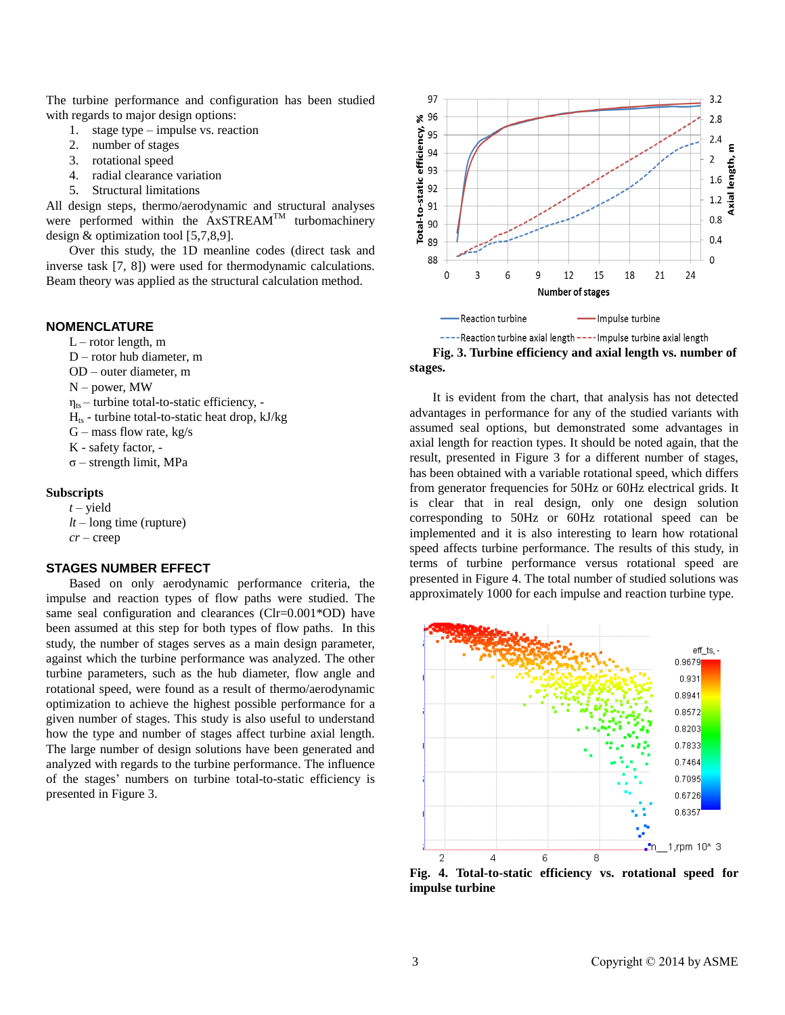The turbine performance and configuration has been studied with regards to major design options:

- 1. stage type impulse vs. reaction
- 2. number of stages
- 3. rotational speed
- 4. radial clearance variation
- 5. Structural limitations

All design steps, thermo/aerodynamic and structural analyses were performed within the AxSTREAM<sup>TM</sup> turbomachinery design & optimization tool [5,7,8,9].

Over this study, the 1D meanline codes (direct task and inverse task [7, 8]) were used for thermodynamic calculations. Beam theory was applied as the structural calculation method.

# **NOMENCLATURE**

- $L$  rotor length, m
- D rotor hub diameter, m
- OD outer diameter, m
- N power, MW
- $\eta_{ts}$  turbine total-to-static efficiency, -
- $H<sub>ts</sub>$  turbine total-to-static heat drop, kJ/kg
- $G$  mass flow rate, kg/s
- K safety factor, -
- σ strength limit, MPa

### **Subscripts**

*t* – yield *lt* – long time (rupture) *cr* – creep

#### **STAGES NUMBER EFFECT**

Based on only aerodynamic performance criteria, the impulse and reaction types of flow paths were studied. The same seal configuration and clearances (Clr=0.001\*OD) have been assumed at this step for both types of flow paths. In this study, the number of stages serves as a main design parameter, against which the turbine performance was analyzed. The other turbine parameters, such as the hub diameter, flow angle and rotational speed, were found as a result of thermo/aerodynamic optimization to achieve the highest possible performance for a given number of stages. This study is also useful to understand how the type and number of stages affect turbine axial length. The large number of design solutions have been generated and analyzed with regards to the turbine performance. The influence of the stages' numbers on turbine total-to-static efficiency is presented in Figure 3.





It is evident from the chart, that analysis has not detected advantages in performance for any of the studied variants with assumed seal options, but demonstrated some advantages in axial length for reaction types. It should be noted again, that the result, presented in Figure 3 for a different number of stages, has been obtained with a variable rotational speed, which differs from generator frequencies for 50Hz or 60Hz electrical grids. It is clear that in real design, only one design solution corresponding to 50Hz or 60Hz rotational speed can be implemented and it is also interesting to learn how rotational speed affects turbine performance. The results of this study, in terms of turbine performance versus rotational speed are presented in Figure 4. The total number of studied solutions was approximately 1000 for each impulse and reaction turbine type.



**Fig. 4. Total-to-static efficiency vs. rotational speed for impulse turbine**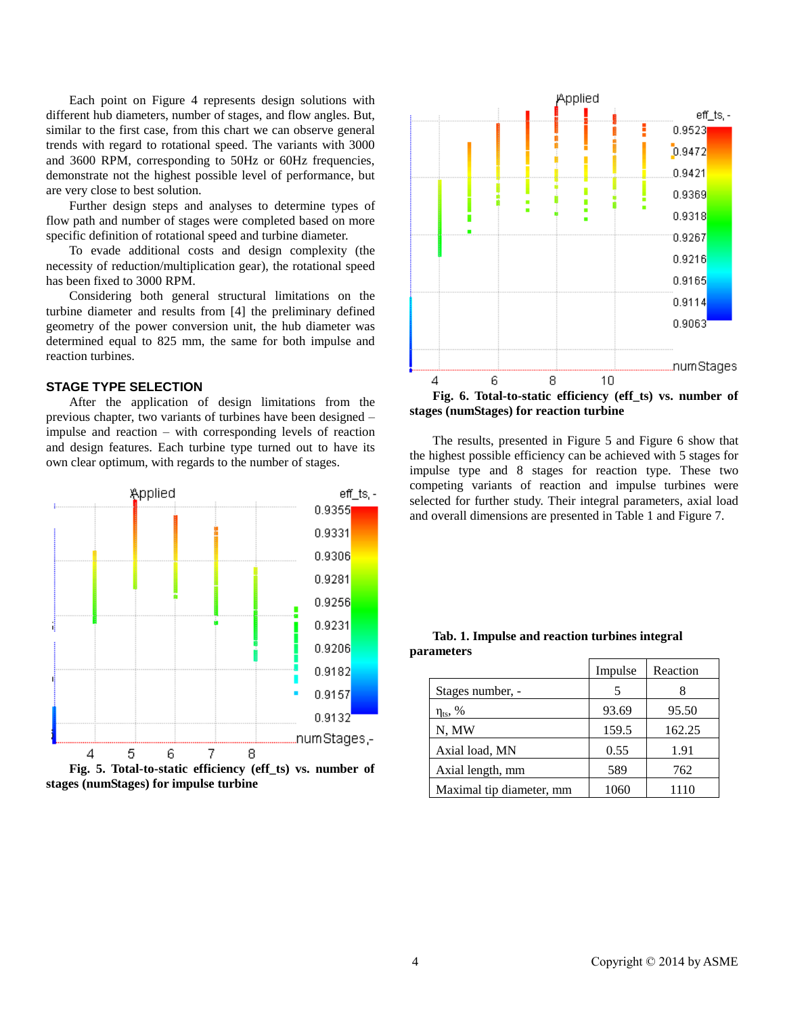Each point on Figure 4 represents design solutions with different hub diameters, number of stages, and flow angles. But, similar to the first case, from this chart we can observe general trends with regard to rotational speed. The variants with 3000 and 3600 RPM, corresponding to 50Hz or 60Hz frequencies, demonstrate not the highest possible level of performance, but are very close to best solution.

Further design steps and analyses to determine types of flow path and number of stages were completed based on more specific definition of rotational speed and turbine diameter.

To evade additional costs and design complexity (the necessity of reduction/multiplication gear), the rotational speed has been fixed to 3000 RPM.

Considering both general structural limitations on the turbine diameter and results from [4] the preliminary defined geometry of the power conversion unit, the hub diameter was determined equal to 825 mm, the same for both impulse and reaction turbines.

# **STAGE TYPE SELECTION**

After the application of design limitations from the previous chapter, two variants of turbines have been designed – impulse and reaction – with corresponding levels of reaction and design features. Each turbine type turned out to have its own clear optimum, with regards to the number of stages.



**stages (numStages) for impulse turbine**



**Fig. 6. Total-to-static efficiency (eff\_ts) vs. number of stages (numStages) for reaction turbine**

The results, presented in Figure 5 and Figure 6 show that the highest possible efficiency can be achieved with 5 stages for impulse type and 8 stages for reaction type. These two competing variants of reaction and impulse turbines were selected for further study. Their integral parameters, axial load and overall dimensions are presented in Table 1 and Figure 7.

### **Tab. 1. Impulse and reaction turbines integral parameters**

|                          | Impulse | Reaction |
|--------------------------|---------|----------|
| Stages number, -         | 5       |          |
| $\eta_{ts}$ , %          | 93.69   | 95.50    |
| N, MW                    | 159.5   | 162.25   |
| Axial load, MN           | 0.55    | 1.91     |
| Axial length, mm         | 589     | 762      |
| Maximal tip diameter, mm | 1060    | 1110     |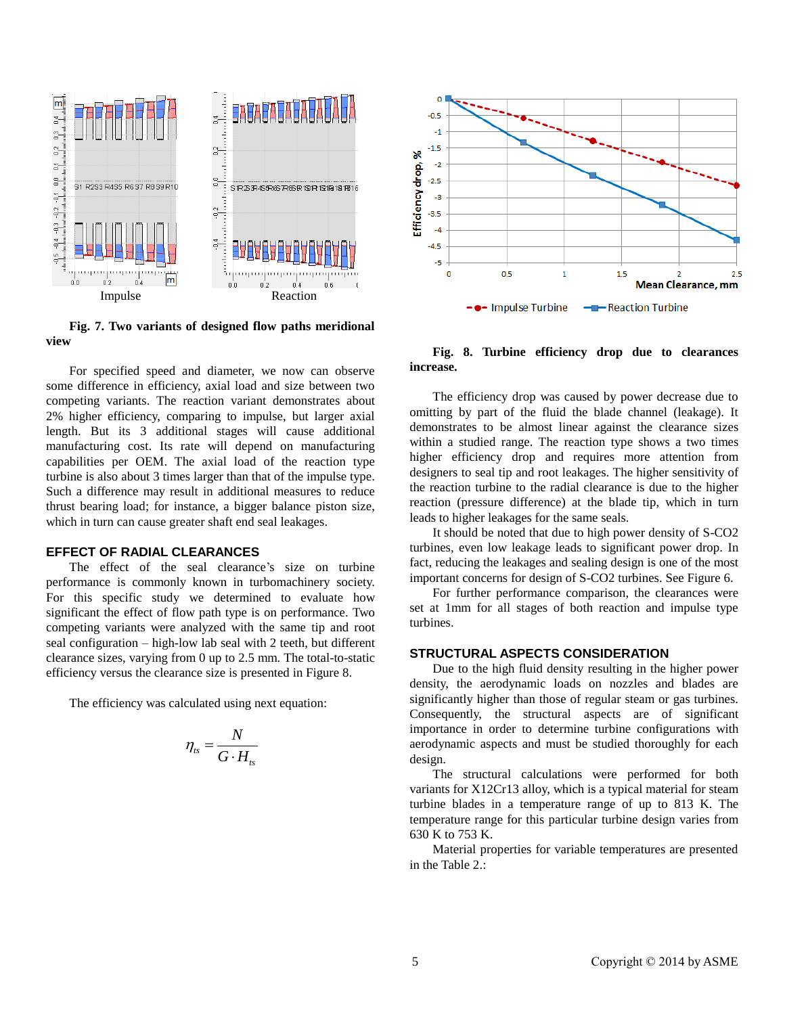

**Fig. 7. Two variants of designed flow paths meridional view**

For specified speed and diameter, we now can observe some difference in efficiency, axial load and size between two competing variants. The reaction variant demonstrates about 2% higher efficiency, comparing to impulse, but larger axial length. But its 3 additional stages will cause additional manufacturing cost. Its rate will depend on manufacturing capabilities per OEM. The axial load of the reaction type turbine is also about 3 times larger than that of the impulse type. Such a difference may result in additional measures to reduce thrust bearing load; for instance, a bigger balance piston size, which in turn can cause greater shaft end seal leakages.

#### **EFFECT OF RADIAL CLEARANCES**

The effect of the seal clearance's size on turbine performance is commonly known in turbomachinery society. For this specific study we determined to evaluate how significant the effect of flow path type is on performance. Two competing variants were analyzed with the same tip and root seal configuration – high-low lab seal with 2 teeth, but different clearance sizes, varying from 0 up to 2.5 mm. The total-to-static efficiency versus the clearance size is presented in Figure 8.

The efficiency was calculated using next equation:

$$
\eta_{ts} = \frac{N}{G \cdot H_{ts}}
$$



# **Fig. 8. Turbine efficiency drop due to clearances increase.**

The efficiency drop was caused by power decrease due to omitting by part of the fluid the blade channel (leakage). It demonstrates to be almost linear against the clearance sizes within a studied range. The reaction type shows a two times higher efficiency drop and requires more attention from designers to seal tip and root leakages. The higher sensitivity of the reaction turbine to the radial clearance is due to the higher reaction (pressure difference) at the blade tip, which in turn leads to higher leakages for the same seals.

It should be noted that due to high power density of S-CO2 turbines, even low leakage leads to significant power drop. In fact, reducing the leakages and sealing design is one of the most important concerns for design of S-CO2 turbines. See Figure 6.

For further performance comparison, the clearances were set at 1mm for all stages of both reaction and impulse type turbines.

#### **STRUCTURAL ASPECTS CONSIDERATION**

Due to the high fluid density resulting in the higher power density, the aerodynamic loads on nozzles and blades are significantly higher than those of regular steam or gas turbines. Consequently, the structural aspects are of significant importance in order to determine turbine configurations with aerodynamic aspects and must be studied thoroughly for each design.

The structural calculations were performed for both variants for X12Cr13 alloy, which is a typical material for steam turbine blades in a temperature range of up to 813 K. The temperature range for this particular turbine design varies from 630 K to 753 K.

Material properties for variable temperatures are presented in the Table 2.: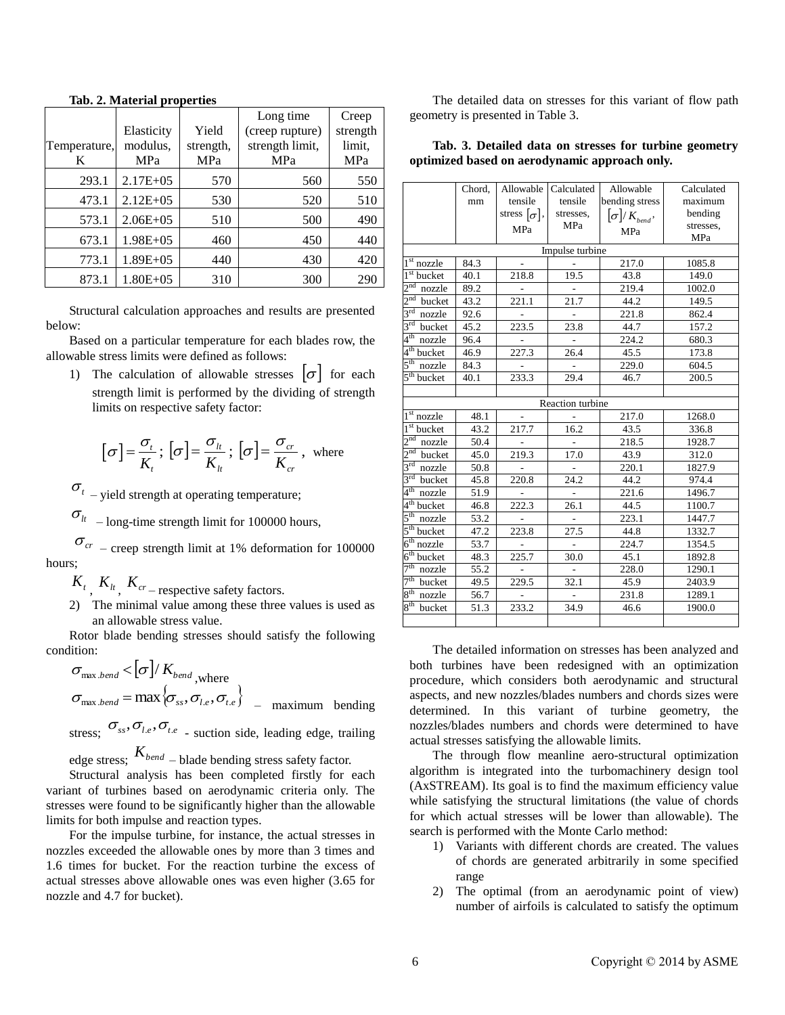|              |               |           | Long time       | Creep    |
|--------------|---------------|-----------|-----------------|----------|
|              | Elasticity    | Yield     | (creep rupture) | strength |
| Temperature, | modulus,      | strength, | strength limit, | limit,   |
| K            | MPa           | MPa       | MPa             | MPa      |
| 293.1        | $2.17E + 0.5$ | 570       | 560             | 550      |
| 473.1        | $2.12E + 0.5$ | 530       | 520             | 510      |
| 573.1        | $2.06E + 05$  | 510       | 500             | 490      |
| 673.1        | $1.98E + 0.5$ | 460       | 450             | 440      |
| 773.1        | $1.89E + 05$  | 440       | 430             | 420      |
| 873.1        | $1.80E + 0.5$ | 310       | 300             | 290      |

#### **Tab. 2. Material properties**

Structural calculation approaches and results are presented below:

Based on a particular temperature for each blades row, the allowable stress limits were defined as follows:

1) The calculation of allowable stresses  $|\sigma|$  for each strength limit is performed by the dividing of strength limits on respective safety factor:

$$
\[\sigma\] = \frac{\sigma_t}{K_t}; \[\sigma\] = \frac{\sigma_u}{K_u}; \[\sigma\] = \frac{\sigma_{cr}}{K_{cr}}, \text{ where}
$$

 $\sigma_{t}$  – yield strength at operating temperature;

 $\sigma_{lt}$  – long-time strength limit for 100000 hours,

 $\sigma_{cr}$  – creep strength limit at 1% deformation for 100000 hours;

 $K_t$ ,  $K_{lt}$ ,  $K_{cr}$  – respective safety factors.

2) The minimal value among these three values is used as an allowable stress value.

Rotor blade bending stresses should satisfy the following condition:

$$
\sigma_{\max. bend} < [\sigma] / K_{bend, where}
$$
\n
$$
\sigma_{\max. bend} = \max \{\sigma_{ss}, \sigma_{l.e}, \sigma_{t.e}\} \quad \text{maximum bending}
$$

stress;  $\sigma_{ss}$ ,  $\sigma_{l,e}$ ,  $\sigma_{t,e}$  - suction side, leading edge, trailing

edge stress; *<sup>K</sup>bend* – blade bending stress safety factor.

Structural analysis has been completed firstly for each variant of turbines based on aerodynamic criteria only. The stresses were found to be significantly higher than the allowable limits for both impulse and reaction types.

For the impulse turbine, for instance, the actual stresses in nozzles exceeded the allowable ones by more than 3 times and 1.6 times for bucket. For the reaction turbine the excess of actual stresses above allowable ones was even higher (3.65 for nozzle and 4.7 for bucket).

The detailed data on stresses for this variant of flow path geometry is presented in Table 3.

**Tab. 3. Detailed data on stresses for turbine geometry optimized based on aerodynamic approach only.**

|                            | Chord, | Allowable           | Calculated       | Allowable               | Calculated |
|----------------------------|--------|---------------------|------------------|-------------------------|------------|
|                            | mm     | tensile             | tensile          | bending stress          | maximum    |
|                            |        | stress $[\sigma]$ , | stresses,        | $[\sigma]$ / $K_{bend}$ | bending    |
|                            |        | MPa                 | MPa              | MPa                     | stresses,  |
|                            |        |                     |                  |                         | MPa        |
|                            |        |                     | Impulse turbine  |                         |            |
| $\overline{1^{st}}$ nozzle | 84.3   |                     |                  | 217.0                   | 1085.8     |
| $1st$ bucket               | 40.1   | 218.8               | 19.5             | 43.8                    | 149.0      |
| 2 <sup>nd</sup><br>nozzle  | 89.2   |                     |                  | 219.4                   | 1002.0     |
| 2 <sup>nd</sup><br>bucket  | 43.2   | 221.1               | 21.7             | 44.2                    | 149.5      |
| $3^{\text{rd}}$<br>nozzle  | 92.6   |                     |                  | 221.8                   | 862.4      |
| $3^{\text{rd}}$<br>bucket  | 45.2   | 223.5               | 23.8             | 44.7                    | 157.2      |
| 4 <sup>th</sup><br>nozzle  | 96.4   |                     |                  | 224.2                   | 680.3      |
| 4 <sup>th</sup> bucket     | 46.9   | 227.3               | 26.4             | 45.5                    | 173.8      |
| $5^{\rm th}$<br>nozzle     | 84.3   |                     |                  | 229.0                   | 604.5      |
| $5th$ bucket               | 40.1   | 233.3               | 29.4             | 46.7                    | 200.5      |
|                            |        |                     |                  |                         |            |
|                            |        |                     | Reaction turbine |                         |            |
| $1st$ nozzle               | 48.1   |                     |                  | 217.0                   | 1268.0     |
| $1st$ bucket               | 43.2   | 217.7               | 16.2             | 43.5                    | 336.8      |
| 2 <sup>nd</sup><br>nozzle  | 50.4   |                     |                  | 218.5                   | 1928.7     |
| $2nd$ bucket               | 45.0   | 219.3               | 17.0             | 43.9                    | 312.0      |
| $3^{\text{rd}}$<br>nozzle  | 50.8   |                     |                  | 220.1                   | 1827.9     |
| $3^{\text{rd}}$<br>bucket  | 45.8   | 220.8               | 24.2             | 44.2                    | 974.4      |
| $4^{\text{th}}$<br>nozzle  | 51.9   |                     |                  | 221.6                   | 1496.7     |
| 4 <sup>th</sup> bucket     | 46.8   | 222.3               | 26.1             | 44.5                    | 1100.7     |
| 5 <sup>th</sup><br>nozzle  | 53.2   |                     |                  | 223.1                   | 1447.7     |
| 5 <sup>th</sup><br>bucket  | 47.2   | 223.8               | 27.5             | 44.8                    | 1332.7     |
| 6 <sup>th</sup><br>nozzle  | 53.7   |                     |                  | 224.7                   | 1354.5     |
| $6th$ bucket               | 48.3   | 225.7               | 30.0             | 45.1                    | 1892.8     |
| $7th$ nozzle               | 55.2   |                     |                  | 228.0                   | 1290.1     |
| $7th$ bucket               | 49.5   | 229.5               | 32.1             | 45.9                    | 2403.9     |
| $8^{\text{th}}$<br>nozzle  | 56.7   |                     |                  | 231.8                   | 1289.1     |
| 8 <sup>th</sup><br>bucket  | 51.3   | 233.2               | 34.9             | 46.6                    | 1900.0     |
|                            |        |                     |                  |                         |            |

The detailed information on stresses has been analyzed and both turbines have been redesigned with an optimization procedure, which considers both aerodynamic and structural aspects, and new nozzles/blades numbers and chords sizes were determined. In this variant of turbine geometry, the nozzles/blades numbers and chords were determined to have actual stresses satisfying the allowable limits.

The through flow meanline aero-structural optimization algorithm is integrated into the turbomachinery design tool (AxSTREAM). Its goal is to find the maximum efficiency value while satisfying the structural limitations (the value of chords for which actual stresses will be lower than allowable). The search is performed with the Monte Carlo method:

- 1) Variants with different chords are created. The values of chords are generated arbitrarily in some specified range
- 2) The optimal (from an aerodynamic point of view) number of airfoils is calculated to satisfy the optimum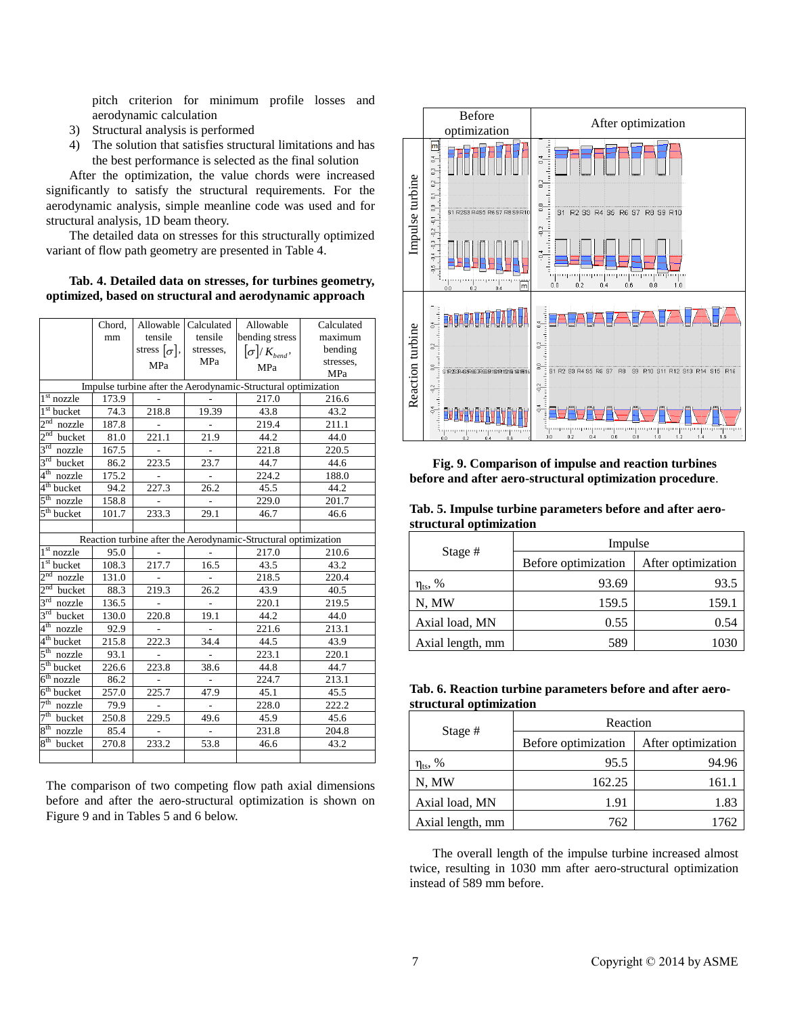pitch criterion for minimum profile losses and aerodynamic calculation

- 3) Structural analysis is performed
- 4) The solution that satisfies structural limitations and has the best performance is selected as the final solution

After the optimization, the value chords were increased significantly to satisfy the structural requirements. For the aerodynamic analysis, simple meanline code was used and for structural analysis, 1D beam theory.

The detailed data on stresses for this structurally optimized variant of flow path geometry are presented in Table 4.

**Tab. 4. Detailed data on stresses, for turbines geometry, optimized, based on structural and aerodynamic approach** 

|                                     | Chord, | Allowable           | Calculated | Allowable                                                      | Calculated |
|-------------------------------------|--------|---------------------|------------|----------------------------------------------------------------|------------|
|                                     | mm     | tensile             | tensile    | bending stress                                                 | maximum    |
|                                     |        | stress $[\sigma]$ , | stresses,  | $\left[\sigma\right]/K_{bend}$                                 | bending    |
|                                     |        | MPa                 | MPa        | MPa                                                            | stresses,  |
|                                     |        |                     |            |                                                                | MPa        |
|                                     |        |                     |            | Impulse turbine after the Aerodynamic-Structural optimization  |            |
| 1 <sup>st</sup><br>nozzle           | 173.9  |                     |            | 217.0                                                          | 216.6      |
| $1st$ bucket                        | 74.3   | 218.8               | 19.39      | 43.8                                                           | 43.2       |
| $2nd$ nozzle                        | 187.8  |                     |            | 219.4                                                          | 211.1      |
| $2nd$ bucket                        | 81.0   | 221.1               | 21.9       | 44.2                                                           | 44.0       |
| $3rd$ nozzle                        | 167.5  |                     |            | 221.8                                                          | 220.5      |
| $3rd$ bucket                        | 86.2   | 223.5               | 23.7       | 44.7                                                           | 44.6       |
| 4 <sup>th</sup><br>nozzle           | 175.2  |                     |            | 224.2                                                          | 188.0      |
| $4th$ bucket                        | 94.2   | 227.3               | 26.2       | 45.5                                                           | 44.2       |
| $\overline{5^{th}}$ nozzle          | 158.8  |                     |            | 229.0                                                          | 201.7      |
| $5th$ bucket                        | 101.7  | 233.3               | 29.1       | 46.7                                                           | 46.6       |
|                                     |        |                     |            |                                                                |            |
|                                     |        |                     |            | Reaction turbine after the Aerodynamic-Structural optimization |            |
| 1 <sup>st</sup><br>nozzle           | 95.0   |                     |            | 217.0                                                          | 210.6      |
| $\overline{1}$ <sup>st</sup> bucket | 108.3  | 217.7               | 16.5       | 43.5                                                           | 43.2       |
| $2nd$ nozzle                        | 131.0  |                     |            | 218.5                                                          | 220.4      |
| $2nd$ bucket                        | 88.3   | 219.3               | 26.2       | 43.9                                                           | 40.5       |
| $3rd$ nozzle                        | 136.5  |                     |            | 220.1                                                          | 219.5      |
| $3rd$ bucket                        | 130.0  | 220.8               | 19.1       | 44.2                                                           | 44.0       |
| $4^{\rm th}$<br>nozzle              | 92.9   |                     |            | 221.6                                                          | 213.1      |
| $4^{\text{th}}$<br>bucket           | 215.8  | 222.3               | 34.4       | 44.5                                                           | 43.9       |
| 5 <sup>th</sup><br>nozzle           | 93.1   | L.                  |            | 223.1                                                          | 220.1      |
| $5th$ bucket                        | 226.6  | 223.8               | 38.6       | 44.8                                                           | 44.7       |
| $6th$ nozzle                        | 86.2   |                     |            | 224.7                                                          | 213.1      |
| $6th$ bucket                        | 257.0  | 225.7               | 47.9       | 45.1                                                           | 45.5       |
| 7 <sup>th</sup><br>nozzle           | 79.9   |                     |            | 228.0                                                          | 222.2      |
| 7 <sup>th</sup><br>bucket           | 250.8  | 229.5               | 49.6       | 45.9                                                           | 45.6       |
| $8^{\rm th}$<br>nozzle              | 85.4   |                     |            | 231.8                                                          | 204.8      |
| 8 <sup>th</sup><br>bucket           | 270.8  | 233.2               | 53.8       | 46.6                                                           | 43.2       |
|                                     |        |                     |            |                                                                |            |

The comparison of two competing flow path axial dimensions before and after the aero-structural optimization is shown on Figure 9 and in Tables 5 and 6 below.



**Fig. 9. Comparison of impulse and reaction turbines before and after aero-structural optimization procedure**.

**Tab. 5. Impulse turbine parameters before and after aerostructural optimization**

|                        | Impulse             |                    |  |
|------------------------|---------------------|--------------------|--|
| Stage $#$              | Before optimization | After optimization |  |
| $\eta_{\text{ts}}$ , % | 93.69               | 93.5               |  |
| N, MW                  | 159.5               | 159.1              |  |
| Axial load, MN         | 0.55                | 0.54               |  |
| Axial length, mm       | 589                 |                    |  |

|                         | Tab. 6. Reaction turbine parameters before and after aero- |  |  |  |
|-------------------------|------------------------------------------------------------|--|--|--|
| structural optimization |                                                            |  |  |  |

|                     | Reaction            |                    |  |  |
|---------------------|---------------------|--------------------|--|--|
| Stage $#$           | Before optimization | After optimization |  |  |
| η <sub>ts</sub> , % | 95.5                | 94.96              |  |  |
| N. MW               | 162.25              | 161.1              |  |  |
| Axial load, MN      | 1.91                | 1.83               |  |  |
| Axial length, mm    | 762                 | 1762               |  |  |

The overall length of the impulse turbine increased almost twice, resulting in 1030 mm after aero-structural optimization instead of 589 mm before.